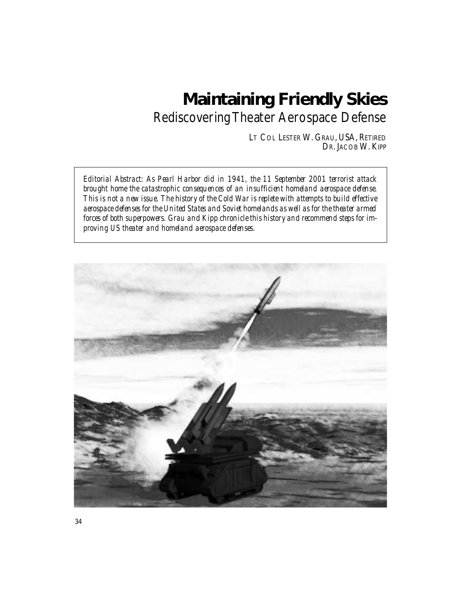# **Maintaining Friendly Skies**

Rediscovering Theater Aerospace Defense

LT COL LESTER W. GRAU, USA, RETIRED DR. JACOB W. KIPP

*Editorial Abstract: As Pearl Harbor did in 1941, the 11 September 2001 terrorist attack brought home the catastrophic consequences of an insufficient homeland aerospace defense. This is not a new issue. The history of the Cold War is replete with attempts to build effective aerospace defenses for the United States and Soviet homelands as well as for the theater armed forces of both superpowers. Grau and Kipp chronicle this history and recommend steps for improving US theater and homeland aerospace defenses.* 

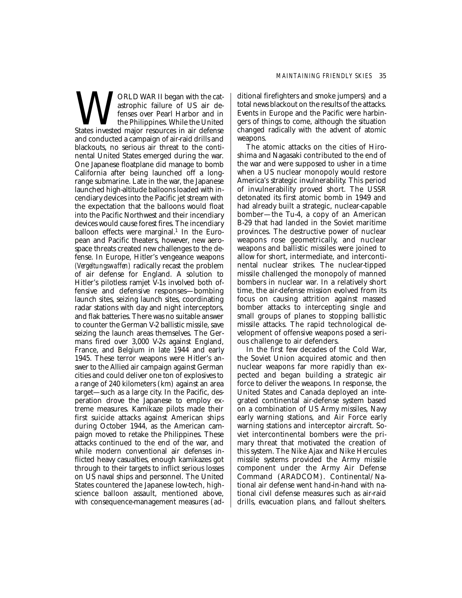WORLD WAR II began with the cat-<br>distrophic failure of US air de-<br>fenses over Pearl Harbor and in<br>States invested major resources in air defense astrophic failure of US air defenses over Pearl Harbor and in the Philippines. While the United and conducted a campaign of air-raid drills and blackouts, no serious air threat to the continental United States emerged during the war. One Japanese floatplane did manage to bomb California after being launched off a longrange submarine. Late in the war, the Japanese launched high-altitude balloons loaded with incendiary devices into the Pacific jet stream with the expectation that the balloons would float into the Pacific Northwest and their incendiary devices would cause forest fires. The incendiary balloon effects were marginal.<sup>1</sup> In the European and Pacific theaters, however, new aerospace threats created new challenges to the defense. In Europe, Hitler's vengeance weapons *(Vergeltungswaffen)* radically recast the problem of air defense for England. A solution to Hitler's pilotless ramjet V-1s involved both offensive and defensive responses—bombing launch sites, seizing launch sites, coordinating radar stations with day and night interceptors, and flak batteries. There was no suitable answer to counter the German V-2 ballistic missile, save seizing the launch areas themselves. The Germans fired over 3,000 V-2s against England, France, and Belgium in late 1944 and early 1945. These terror weapons were Hitler's answer to the Allied air campaign against German cities and could deliver one ton of explosives to a range of 240 kilometers (km) against an area target—such as a large city. In the Pacific, desperation drove the Japanese to employ extreme measures. Kamikaze pilots made their first suicide attacks against American ships during October 1944, as the American campaign moved to retake the Philippines. These attacks continued to the end of the war, and while modern conventional air defenses inflicted heavy casualties, enough kamikazes got through to their targets to inflict serious losses on US naval ships and personnel. The United States countered the Japanese low-tech, highscience balloon assault, mentioned above, with consequence-management measures (additional firefighters and smoke jumpers) and a total news blackout on the results of the attacks. Events in Europe and the Pacific were harbingers of things to come, although the situation changed radically with the advent of atomic weapons.

The atomic attacks on the cities of Hiroshima and Nagasaki contributed to the end of the war and were supposed to usher in a time when a US nuclear monopoly would restore America's strategic invulnerability. This period of invulnerability proved short. The USSR detonated its first atomic bomb in 1949 and had already built a strategic, nuclear-capable bomber—the Tu-4, a copy of an American B-29 that had landed in the Soviet maritime provinces. The destructive power of nuclear weapons rose geometrically, and nuclear weapons and ballistic missiles were joined to allow for short, intermediate, and intercontinental nuclear strikes. The nuclear-tipped missile challenged the monopoly of manned bombers in nuclear war. In a relatively short time, the air-defense mission evolved from its focus on causing attrition against massed bomber attacks to intercepting single and small groups of planes to stopping ballistic missile attacks. The rapid technological development of offensive weapons posed a serious challenge to air defenders.

In the first few decades of the Cold War, the Soviet Union acquired atomic and then nuclear weapons far more rapidly than expected and began building a strategic air force to deliver the weapons. In response, the United States and Canada deployed an integrated continental air-defense system based on a combination of US Army missiles, Navy early warning stations, and Air Force early warning stations and interceptor aircraft. Soviet intercontinental bombers were the primary threat that motivated the creation of this system. The Nike Ajax and Nike Hercules missile systems provided the Army missile component under the Army Air Defense Command (ARADCOM). Continental/National air defense went hand-in-hand with national civil defense measures such as air-raid drills, evacuation plans, and fallout shelters.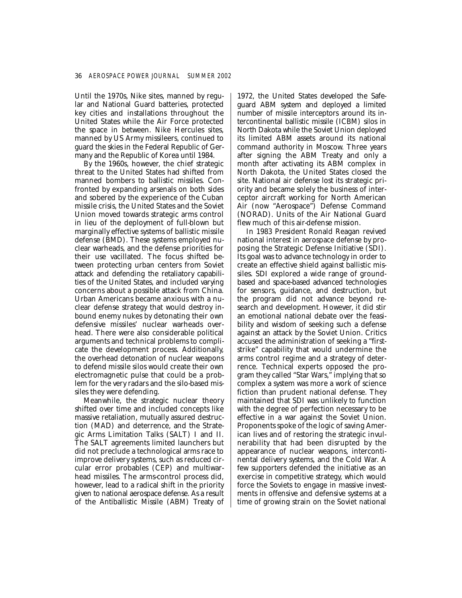Until the 1970s, Nike sites, manned by regular and National Guard batteries, protected key cities and installations throughout the United States while the Air Force protected the space in between. Nike Hercules sites, manned by US Army missileers, continued to guard the skies in the Federal Republic of Germany and the Republic of Korea until 1984.

By the 1960s, however, the chief strategic threat to the United States had shifted from manned bombers to ballistic missiles. Confronted by expanding arsenals on both sides and sobered by the experience of the Cuban missile crisis, the United States and the Soviet Union moved towards strategic arms control in lieu of the deployment of full-blown but marginally effective systems of ballistic missile defense (BMD). These systems employed nuclear warheads, and the defense priorities for their use vacillated. The focus shifted between protecting urban centers from Soviet attack and defending the retaliatory capabilities of the United States, and included varying concerns about a possible attack from China. Urban Americans became anxious with a nuclear defense strategy that would destroy inbound enemy nukes by detonating their own defensive missiles' nuclear warheads overhead. There were also considerable political arguments and technical problems to complicate the development process. Additionally, the overhead detonation of nuclear weapons to defend missile silos would create their own electromagnetic pulse that could be a problem for the very radars and the silo-based missiles they were defending.

Meanwhile, the strategic nuclear theory shifted over time and included concepts like massive retaliation, mutually assured destruction (MAD) and deterrence, and the Strategic Arms Limitation Talks (SALT) I and II. The SALT agreements limited launchers but did not preclude a technological arms race to improve delivery systems, such as reduced circular error probables (CEP) and multiwarhead missiles. The arms-control process did, however, lead to a radical shift in the priority given to national aerospace defense. As a result of the Antiballistic Missile (ABM) Treaty of 1972, the United States developed the Safeguard ABM system and deployed a limited number of missile interceptors around its intercontinental ballistic missile (ICBM) silos in North Dakota while the Soviet Union deployed its limited ABM assets around its national command authority in Moscow. Three years after signing the ABM Treaty and only a month after activating its ABM complex in North Dakota, the United States closed the site. National air defense lost its strategic priority and became solely the business of interceptor aircraft working for North American Air (now "Aerospace") Defense Command (NORAD). Units of the Air National Guard flew much of this air-defense mission.

In 1983 President Ronald Reagan revived national interest in aerospace defense by proposing the Strategic Defense Initiative (SDI). Its goal was to advance technology in order to create an effective shield against ballistic missiles. SDI explored a wide range of groundbased and space-based advanced technologies for sensors, guidance, and destruction, but the program did not advance beyond research and development. However, it did stir an emotional national debate over the feasibility and wisdom of seeking such a defense against an attack by the Soviet Union. Critics accused the administration of seeking a "firststrike" capability that would undermine the arms control regime and a strategy of deterrence. Technical experts opposed the program they called "Star Wars," implying that so complex a system was more a work of science fiction than prudent national defense. They maintained that SDI was unlikely to function with the degree of perfection necessary to be effective in a war against the Soviet Union. Proponents spoke of the logic of saving American lives and of restoring the strategic invulnerability that had been disrupted by the appearance of nuclear weapons, intercontinental delivery systems, and the Cold War. A few supporters defended the initiative as an exercise in competitive strategy, which would force the Soviets to engage in massive investments in offensive and defensive systems at a time of growing strain on the Soviet national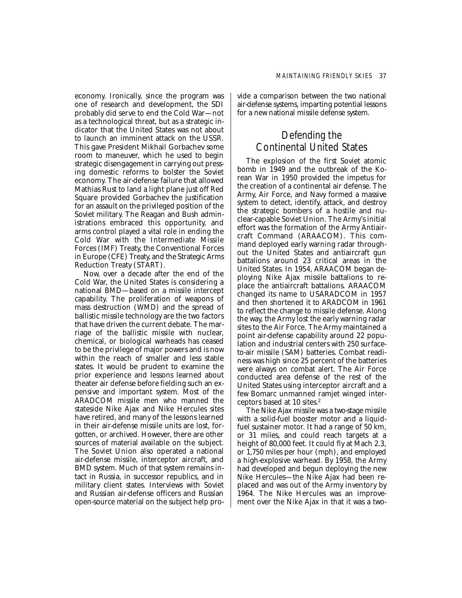economy. Ironically, since the program was one of research and development, the SDI probably did serve to end the Cold War—not as a technological threat, but as a strategic indicator that the United States was not about to launch an imminent attack on the USSR. This gave President Mikhail Gorbachev some room to maneuver, which he used to begin strategic disengagement in carrying out pressing domestic reforms to bolster the Soviet economy. The air-defense failure that allowed Mathias Rust to land a light plane just off Red Square provided Gorbachev the justification for an assault on the privileged position of the Soviet military. The Reagan and Bush administrations embraced this opportunity, and arms control played a vital role in ending the Cold War with the Intermediate Missile Forces (IMF) Treaty, the Conventional Forces in Europe (CFE) Treaty, and the Strategic Arms Reduction Treaty (START).

Now, over a decade after the end of the Cold War, the United States is considering a national BMD—based on a missile intercept capability. The proliferation of weapons of mass destruction (WMD) and the spread of ballistic missile technology are the two factors that have driven the current debate. The marriage of the ballistic missile with nuclear, chemical, or biological warheads has ceased to be the privilege of major powers and is now within the reach of smaller and less stable states. It would be prudent to examine the prior experience and lessons learned about theater air defense before fielding such an expensive and important system. Most of the ARADCOM missile men who manned the stateside Nike Ajax and Nike Hercules sites have retired, and many of the lessons learned in their air-defense missile units are lost, forgotten, or archived. However, there are other sources of material available on the subject. The Soviet Union also operated a national air-defense missile, interceptor aircraft, and BMD system. Much of that system remains intact in Russia, in successor republics, and in military client states. Interviews with Soviet and Russian air-defense officers and Russian open-source material on the subject help provide a comparison between the two national air-defense systems, imparting potential lessons for a new national missile defense system.

## Defending the Continental United States

The explosion of the first Soviet atomic bomb in 1949 and the outbreak of the Korean War in 1950 provided the impetus for the creation of a continental air defense. The Army, Air Force, and Navy formed a massive system to detect, identify, attack, and destroy the strategic bombers of a hostile and nuclear-capable Soviet Union. The Army's initial effort was the formation of the Army Antiaircraft Command (ARAACOM). This command deployed early warning radar throughout the United States and antiaircraft gun battalions around 23 critical areas in the United States. In 1954, ARAACOM began deploying Nike Ajax missile battalions to replace the antiaircraft battalions. ARAACOM changed its name to USARADCOM in 1957 and then shortened it to ARADCOM in 1961 to reflect the change to missile defense. Along the way, the Army lost the early warning radar sites to the Air Force. The Army maintained a point air-defense capability around 22 population and industrial centers with 250 surfaceto-air missile (SAM) batteries. Combat readiness was high since 25 percent of the batteries were always on combat alert. The Air Force conducted area defense of the rest of the United States using interceptor aircraft and a few Bomarc unmanned ramjet winged interceptors based at 10 sites.2

The Nike Ajax missile was a two-stage missile with a solid-fuel booster motor and a liquidfuel sustainer motor. It had a range of 50 km, or 31 miles, and could reach targets at a height of 80,000 feet. It could fly at Mach 2.3, or 1,750 miles per hour (mph), and employed a high-explosive warhead. By 1958, the Army had developed and begun deploying the new Nike Hercules—the Nike Ajax had been replaced and was out of the Army inventory by 1964. The Nike Hercules was an improvement over the Nike Ajax in that it was a two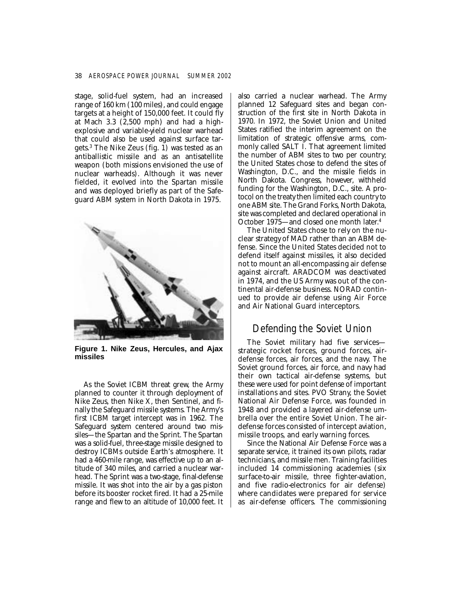stage, solid-fuel system, had an increased range of 160 km (100 miles), and could engage targets at a height of 150,000 feet. It could fly at Mach 3.3 (2,500 mph) and had a highexplosive and variable-yield nuclear warhead that could also be used against surface targets.3 The Nike Zeus (fig. 1) was tested as an antiballistic missile and as an antisatellite weapon (both missions envisioned the use of nuclear warheads). Although it was never fielded, it evolved into the Spartan missile and was deployed briefly as part of the Safeguard ABM system in North Dakota in 1975.



**Figure 1. Nike Zeus, Hercules, and Ajax missiles** 

As the Soviet ICBM threat grew, the Army planned to counter it through deployment of Nike Zeus, then Nike X, then Sentinel, and finally the Safeguard missile systems. The Army's first ICBM target intercept was in 1962. The Safeguard system centered around two missiles—the Spartan and the Sprint. The Spartan was a solid-fuel, three-stage missile designed to destroy ICBMs outside Earth's atmosphere. It had a 460-mile range, was effective up to an altitude of 340 miles, and carried a nuclear warhead. The Sprint was a two-stage, final-defense missile. It was shot into the air by a gas piston before its booster rocket fired. It had a 25-mile range and flew to an altitude of 10,000 feet. It also carried a nuclear warhead. The Army planned 12 Safeguard sites and began construction of the first site in North Dakota in 1970. In 1972, the Soviet Union and United States ratified the interim agreement on the limitation of strategic offensive arms, commonly called SALT I. That agreement limited the number of ABM sites to two per country; the United States chose to defend the sites of Washington, D.C., and the missile fields in North Dakota. Congress, however, withheld funding for the Washington, D.C., site. A protocol on the treaty then limited each country to one ABM site. The Grand Forks, North Dakota, site was completed and declared operational in October 1975—and closed one month later. 4

The United States chose to rely on the nuclear strategy of MAD rather than an ABM defense. Since the United States decided not to defend itself against missiles, it also decided not to mount an all-encompassing air defense against aircraft. ARADCOM was deactivated in 1974, and the US Army was out of the continental air-defense business. NORAD continued to provide air defense using Air Force and Air National Guard interceptors.

## Defending the Soviet Union

The Soviet military had five services strategic rocket forces, ground forces, airdefense forces, air forces, and the navy. The Soviet ground forces, air force, and navy had their own tactical air-defense systems, but these were used for point defense of important installations and sites. PVO Strany, the Soviet National Air Defense Force, was founded in 1948 and provided a layered air-defense umbrella over the entire Soviet Union. The airdefense forces consisted of intercept aviation, missile troops, and early warning forces.

Since the National Air Defense Force was a separate service, it trained its own pilots, radar technicians, and missile men. Training facilities included 14 commissioning academies (six surface-to-air missile, three fighter-aviation, and five radio-electronics for air defense) where candidates were prepared for service as air-defense officers. The commissioning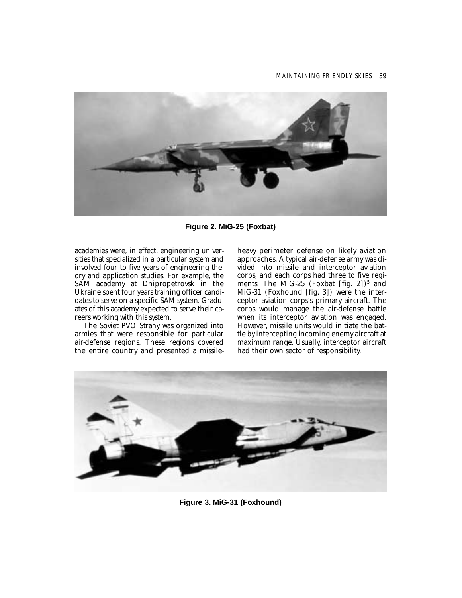

**Figure 2. MiG-25 (Foxbat)** 

academies were, in effect, engineering universities that specialized in a particular system and involved four to five years of engineering theory and application studies. For example, the SAM academy at Dnipropetrovsk in the Ukraine spent four years training officer candidates to serve on a specific SAM system. Graduates of this academy expected to serve their careers working with this system.

The Soviet PVO Strany was organized into armies that were responsible for particular air-defense regions. These regions covered the entire country and presented a missileheavy perimeter defense on likely aviation approaches. A typical air-defense army was divided into missile and interceptor aviation corps, and each corps had three to five regiments. The MiG-25 (Foxbat [fig. 2])<sup>5</sup> and MiG-31 (Foxhound [fig. 3]) were the interceptor aviation corps's primary aircraft. The corps would manage the air-defense battle when its interceptor aviation was engaged. However, missile units would initiate the battle by intercepting incoming enemy aircraft at maximum range. Usually, interceptor aircraft had their own sector of responsibility.



**Figure 3. MiG-31 (Foxhound)**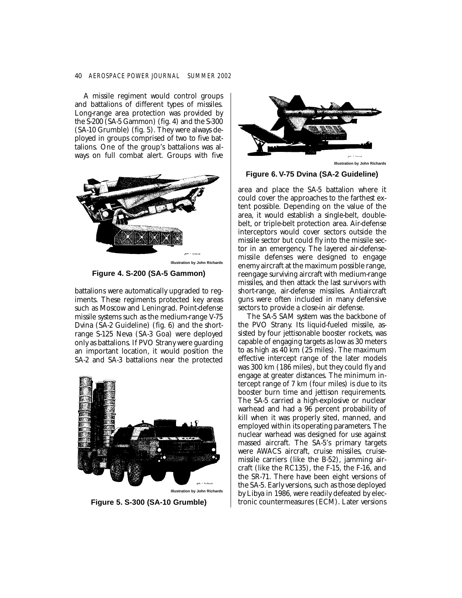#### 40 *AEROSPACE POWER JOURNAL SUMMER 2002*

A missile regiment would control groups and battalions of different types of missiles. Long-range area protection was provided by the S-200 (SA-5 Gammon) (fig. 4) and the S-300 (SA-10 Grumble) (fig. 5). They were always deployed in groups comprised of two to five battalions. One of the group's battalions was always on full combat alert. Groups with five



**Figure 4. S-200 (SA-5 Gammon)** 

battalions were automatically upgraded to regiments. These regiments protected key areas such as Moscow and Leningrad. Point-defense missile systems such as the medium-range V-75 Dvina (SA-2 Guideline) (fig. 6) and the shortrange S-125 Neva (SA-3 Goa) were deployed only as battalions. If PVO Strany were guarding an important location, it would position the SA-2 and SA-3 battalions near the protected



**Figure 5. S-300 (SA-10 Grumble)** 



**Figure 6. V-75 Dvina (SA-2 Guideline)** 

area and place the SA-5 battalion where it could cover the approaches to the farthest extent possible. Depending on the value of the area, it would establish a single-belt, doublebelt, or triple-belt protection area. Air-defense interceptors would cover sectors outside the missile sector but could fly into the missile sector in an emergency. The layered air-defensemissile defenses were designed to engage enemy aircraft at the maximum possible range, reengage surviving aircraft with medium-range missiles, and then attack the last survivors with short-range, air-defense missiles. Antiaircraft guns were often included in many defensive sectors to provide a close-in air defense.

The SA-5 SAM system was the backbone of the PVO Strany. Its liquid-fueled missile, assisted by four jettisonable booster rockets, was capable of engaging targets as low as 30 meters to as high as 40 km (25 miles). The maximum effective intercept range of the later models was 300 km (186 miles), but they could fly and engage at greater distances. The minimum intercept range of 7 km (four miles) is due to its booster burn time and jettison requirements. The SA-5 carried a high-explosive or nuclear warhead and had a 96 percent probability of kill when it was properly sited, manned, and employed within its operating parameters. The nuclear warhead was designed for use against massed aircraft. The SA-5's primary targets were AWACS aircraft, cruise missiles, cruisemissile carriers (like the B-52), jamming aircraft (like the RC135), the F-15, the F-16, and the SR-71. There have been eight versions of the SA-5. Early versions, such as those deployed by Libya in 1986, were readily defeated by electronic countermeasures (ECM). Later versions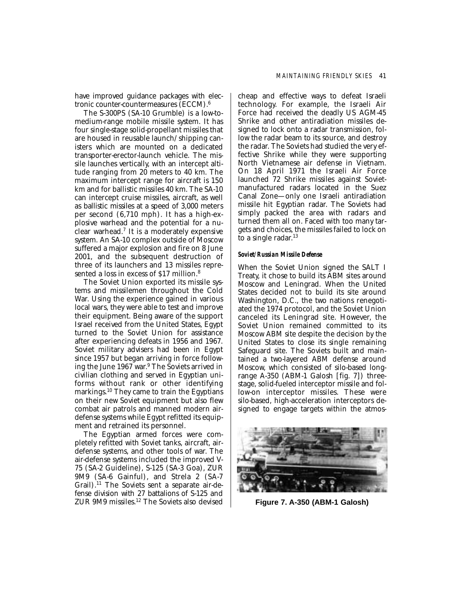The S-300PS (SA-10 Grumble) is a low-tomedium-range mobile missile system. It has four single-stage solid-propellant missiles that are housed in reusable launch/shipping canisters which are mounted on a dedicated transporter-erector-launch vehicle. The missile launches vertically, with an intercept altitude ranging from 20 meters to 40 km. The maximum intercept range for aircraft is 150 km and for ballistic missiles 40 km. The SA-10 can intercept cruise missiles, aircraft, as well as ballistic missiles at a speed of 3,000 meters per second (6,710 mph). It has a high-explosive warhead and the potential for a nuclear warhead.7 It is a moderately expensive system. An SA-10 complex outside of Moscow suffered a major explosion and fire on 8 June 2001, and the subsequent destruction of three of its launchers and 13 missiles represented a loss in excess of \$17 million.<sup>8</sup>

The Soviet Union exported its missile systems and missilemen throughout the Cold War. Using the experience gained in various local wars, they were able to test and improve their equipment. Being aware of the support Israel received from the United States, Egypt turned to the Soviet Union for assistance after experiencing defeats in 1956 and 1967. Soviet military advisers had been in Egypt since 1957 but began arriving in force following the June 1967 war. 9 The Soviets arrived in civilian clothing and served in Egyptian uniforms without rank or other identifying markings.10 They came to train the Egyptians on their new Soviet equipment but also flew combat air patrols and manned modern airdefense systems while Egypt refitted its equipment and retrained its personnel.

The Egyptian armed forces were completely refitted with Soviet tanks, aircraft, airdefense systems, and other tools of war. The air-defense systems included the improved V-75 (SA-2 Guideline), S-125 (SA-3 Goa), ZUR 9M9 (SA-6 Gainful), and Strela 2 (SA-7 Grail).11 The Soviets sent a separate air-defense division with 27 battalions of S-125 and ZUR 9M9 missiles.12 The Soviets also devised

cheap and effective ways to defeat Israeli technology. For example, the Israeli Air Force had received the deadly US AGM-45 Shrike and other antiradiation missiles designed to lock onto a radar transmission, follow the radar beam to its source, and destroy the radar. The Soviets had studied the very effective Shrike while they were supporting North Vietnamese air defense in Vietnam. On 18 April 1971 the Israeli Air Force launched 72 Shrike missiles against Sovietmanufactured radars located in the Suez Canal Zone—only one Israeli antiradiation missile hit Egyptian radar. The Soviets had simply packed the area with radars and turned them all on. Faced with too many targets and choices, the missiles failed to lock on to a single radar. 13

#### *Soviet/Russian Missile Defense*

When the Soviet Union signed the SALT I Treaty, it chose to build its ABM sites around Moscow and Leningrad. When the United States decided not to build its site around Washington, D.C., the two nations renegotiated the 1974 protocol, and the Soviet Union canceled its Leningrad site. However, the Soviet Union remained committed to its Moscow ABM site despite the decision by the United States to close its single remaining Safeguard site. The Soviets built and maintained a two-layered ABM defense around Moscow, which consisted of silo-based longrange A-350 (ABM-1 Galosh [fig. 7]) threestage, solid-fueled interceptor missile and follow-on interceptor missiles. These were silo-based, high-acceleration interceptors designed to engage targets within the atmos-



**Figure 7. A-350 (ABM-1 Galosh)**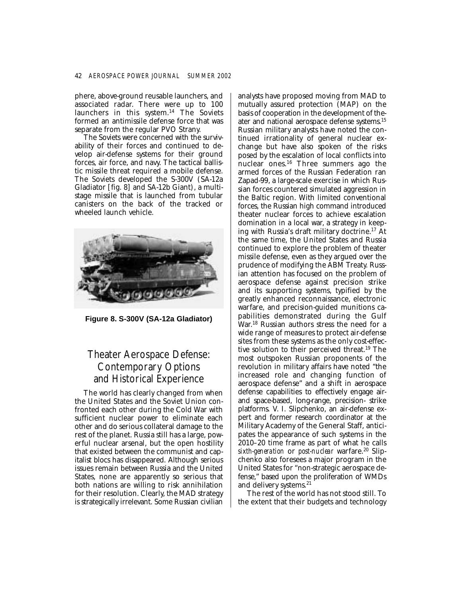phere, above-ground reusable launchers, and associated radar. There were up to 100 launchers in this system.<sup>14</sup> The Soviets formed an antimissile defense force that was separate from the regular PVO Strany.

The Soviets were concerned with the survivability of their forces and continued to develop air-defense systems for their ground forces, air force, and navy. The tactical ballistic missile threat required a mobile defense. The Soviets developed the S-300V (SA-12a Gladiator [fig. 8] and SA-12b Giant), a multistage missile that is launched from tubular canisters on the back of the tracked or wheeled launch vehicle.



**Figure 8. S-300V (SA-12a Gladiator)** 

## Theater Aerospace Defense: Contemporary Options and Historical Experience

The world has clearly changed from when the United States and the Soviet Union confronted each other during the Cold War with sufficient nuclear power to eliminate each other and do serious collateral damage to the rest of the planet. Russia still has a large, powerful nuclear arsenal, but the open hostility that existed between the communist and capitalist blocs has disappeared. Although serious issues remain between Russia and the United States, none are apparently so serious that both nations are willing to risk annihilation for their resolution. Clearly, the MAD strategy is strategically irrelevant. Some Russian civilian

analysts have proposed moving from MAD to mutually assured protection (MAP) on the basis of cooperation in the development of theater and national aerospace defense systems.15 Russian military analysts have noted the continued irrationality of general nuclear exchange but have also spoken of the risks posed by the escalation of local conflicts into nuclear ones.16 Three summers ago the armed forces of the Russian Federation ran Zapad-99, a large-scale exercise in which Russian forces countered simulated aggression in the Baltic region. With limited conventional forces, the Russian high command introduced theater nuclear forces to achieve escalation domination in a local war, a strategy in keeping with Russia's draft military doctrine.17 At the same time, the United States and Russia continued to explore the problem of theater missile defense, even as they argued over the prudence of modifying the ABM Treaty. Russian attention has focused on the problem of aerospace defense against precision strike and its supporting systems, typified by the greatly enhanced reconnaissance, electronic warfare, and precision-guided munitions capabilities demonstrated during the Gulf War. 18 Russian authors stress the need for a wide range of measures to protect air-defense sites from these systems as the only cost-effective solution to their perceived threat.19 The most outspoken Russian proponents of the revolution in military affairs have noted "the increased role and changing function of aerospace defense" and a shift in aerospace defense capabilities to effectively engage airand space-based, long-range, precision- strike platforms. V. I. Slipchenko, an air-defense expert and former research coordinator at the Military Academy of the General Staff, anticipates the appearance of such systems in the 2010–20 time frame as part of what he calls *sixth-generation* or *post-nuclear* warfare.<sup>20</sup> Slipchenko also foresees a major program in the United States for "non-strategic aerospace defense," based upon the proliferation of WMDs and delivery systems.<sup>21</sup>

The rest of the world has not stood still. To the extent that their budgets and technology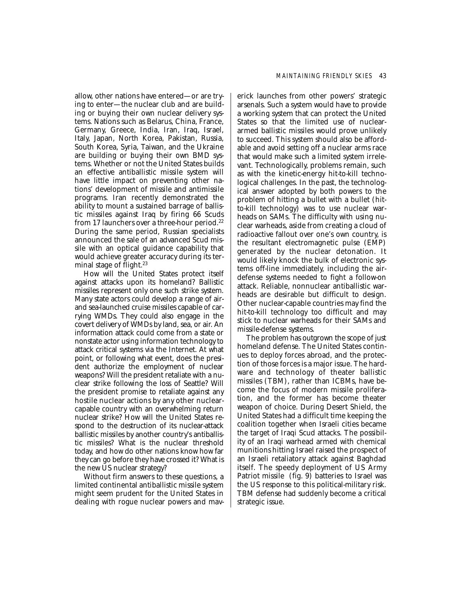allow, other nations have entered—or are trying to enter—the nuclear club and are building or buying their own nuclear delivery systems. Nations such as Belarus, China, France, Germany, Greece, India, Iran, Iraq, Israel, Italy, Japan, North Korea, Pakistan, Russia, South Korea, Syria, Taiwan, and the Ukraine are building or buying their own BMD systems. Whether or not the United States builds an effective antiballistic missile system will have little impact on preventing other nations' development of missile and antimissile programs. Iran recently demonstrated the ability to mount a sustained barrage of ballistic missiles against Iraq by firing 66 Scuds from 17 launchers over a three-hour period.<sup>22</sup> During the same period, Russian specialists announced the sale of an advanced Scud missile with an optical guidance capability that would achieve greater accuracy during its terminal stage of flight.<sup>23</sup>

How will the United States protect itself against attacks upon its homeland? Ballistic missiles represent only one such strike system. Many state actors could develop a range of airand sea-launched cruise missiles capable of carrying WMDs. They could also engage in the covert delivery of WMDs by land, sea, or air. An information attack could come from a state or nonstate actor using information technology to attack critical systems via the Internet. At what point, or following what event, does the president authorize the employment of nuclear weapons? Will the president retaliate with a nuclear strike following the loss of Seattle? Will the president promise to retaliate against any hostile nuclear actions by any other nuclearcapable country with an overwhelming return nuclear strike? How will the United States respond to the destruction of its nuclear-attack ballistic missiles by another country's antiballistic missiles? What is the nuclear threshold today, and how do other nations know how far they can go before they have crossed it? What is the new US nuclear strategy?

Without firm answers to these questions, a limited continental antiballistic missile system might seem prudent for the United States in dealing with rogue nuclear powers and maverick launches from other powers' strategic arsenals. Such a system would have to provide a working system that can protect the United States so that the limited use of nucleararmed ballistic missiles would prove unlikely to succeed. This system should also be affordable and avoid setting off a nuclear arms race that would make such a limited system irrelevant. Technologically, problems remain, such as with the kinetic-energy hit-to-kill technological challenges. In the past, the technological answer adopted by both powers to the problem of hitting a bullet with a bullet (hitto-kill technology) was to use nuclear warheads on SAMs. The difficulty with using nuclear warheads, aside from creating a cloud of radioactive fallout over one's own country, is the resultant electromagnetic pulse (EMP) generated by the nuclear detonation. It would likely knock the bulk of electronic systems off-line immediately, including the airdefense systems needed to fight a follow-on attack. Reliable, nonnuclear antiballistic warheads are desirable but difficult to design. Other nuclear-capable countries may find the hit-to-kill technology too difficult and may stick to nuclear warheads for their SAMs and missile-defense systems.

The problem has outgrown the scope of just homeland defense. The United States continues to deploy forces abroad, and the protection of those forces is a major issue. The hardware and technology of theater ballistic missiles (TBM), rather than ICBMs, have become the focus of modern missile proliferation, and the former has become theater weapon of choice. During Desert Shield, the United States had a difficult time keeping the coalition together when Israeli cities became the target of Iraqi Scud attacks. The possibility of an Iraqi warhead armed with chemical munitions hitting Israel raised the prospect of an Israeli retaliatory attack against Baghdad itself. The speedy deployment of US Army Patriot missile (fig. 9) batteries to Israel was the US response to this political-military risk. TBM defense had suddenly become a critical strategic issue.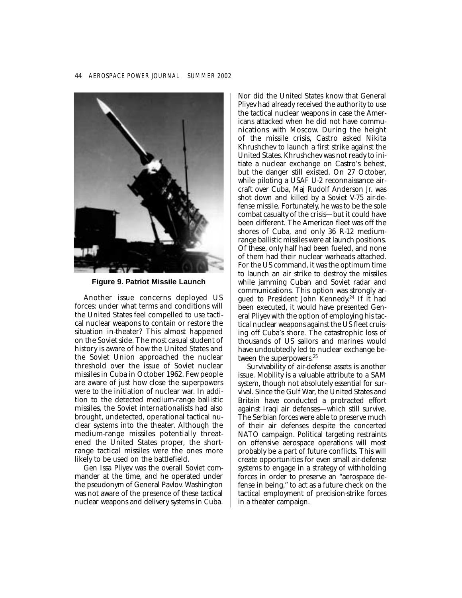

**Figure 9. Patriot Missile Launch** 

Another issue concerns deployed US forces: under what terms and conditions will the United States feel compelled to use tactical nuclear weapons to contain or restore the situation in-theater? This almost happened on the Soviet side. The most casual student of history is aware of how the United States and the Soviet Union approached the nuclear threshold over the issue of Soviet nuclear missiles in Cuba in October 1962. Few people are aware of just how close the superpowers were to the initiation of nuclear war. In addition to the detected medium-range ballistic missiles, the Soviet internationalists had also brought, undetected, operational tactical nuclear systems into the theater. Although the medium-range missiles potentially threatened the United States proper, the shortrange tactical missiles were the ones more likely to be used on the battlefield.

Gen Issa Pliyev was the overall Soviet commander at the time, and he operated under the pseudonym of General Pavlov. Washington was not aware of the presence of these tactical nuclear weapons and delivery systems in Cuba.

Nor did the United States know that General Pliyev had already received the authority to use the tactical nuclear weapons in case the Americans attacked when he did not have communications with Moscow. During the height of the missile crisis, Castro asked Nikita Khrushchev to launch a first strike against the United States. Khrushchev was not ready to initiate a nuclear exchange on Castro's behest, but the danger still existed. On 27 October, while piloting a USAF U-2 reconnaissance aircraft over Cuba, Maj Rudolf Anderson Jr. was shot down and killed by a Soviet V-75 air-defense missile. Fortunately, he was to be the sole combat casualty of the crisis—but it could have been different. The American fleet was off the shores of Cuba, and only 36 R-12 mediumrange ballistic missiles were at launch positions. Of these, only half had been fueled, and none of them had their nuclear warheads attached. For the US command, it was the optimum time to launch an air strike to destroy the missiles while jamming Cuban and Soviet radar and communications. This option was strongly argued to President John Kennedy. 24 If it had been executed, it would have presented General Pliyev with the option of employing his tactical nuclear weapons against the US fleet cruising off Cuba's shore. The catastrophic loss of thousands of US sailors and marines would have undoubtedly led to nuclear exchange between the superpowers.<sup>25</sup>

Survivability of air-defense assets is another issue. Mobility is a valuable attribute to a SAM system, though not absolutely essential for survival. Since the Gulf War, the United States and Britain have conducted a protracted effort against Iraqi air defenses—which still survive. The Serbian forces were able to preserve much of their air defenses despite the concerted NATO campaign. Political targeting restraints on offensive aerospace operations will most probably be a part of future conflicts. This will create opportunities for even small air-defense systems to engage in a strategy of withholding forces in order to preserve an "aerospace defense in being," to act as a future check on the tactical employment of precision-strike forces in a theater campaign.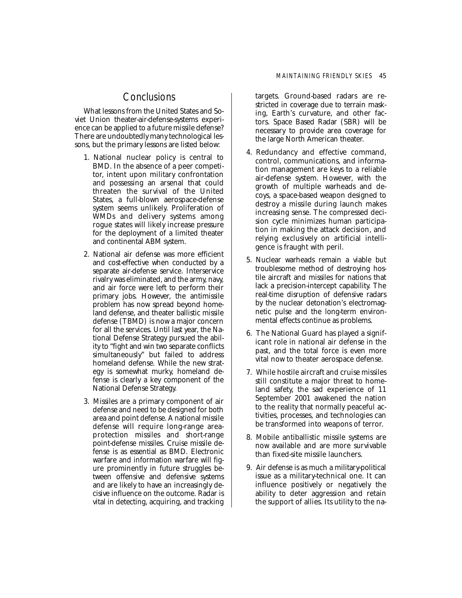### **Conclusions**

What lessons from the United States and Soviet Union theater-air-defense-systems experience can be applied to a future missile defense? There are undoubtedly many technological lessons, but the primary lessons are listed below:

- 1. National nuclear policy is central to BMD. In the absence of a peer competitor, intent upon military confrontation and possessing an arsenal that could threaten the survival of the United States, a full-blown aerospace-defense system seems unlikely. Proliferation of WMDs and delivery systems among rogue states will likely increase pressure for the deployment of a limited theater and continental ABM system.
- 2. National air defense was more efficient and cost-effective when conducted by a separate air-defense service. Interservice rivalry was eliminated, and the army, navy, and air force were left to perform their primary jobs. However, the antimissile problem has now spread beyond homeland defense, and theater ballistic missile defense (TBMD) is now a major concern for all the services. Until last year, the National Defense Strategy pursued the ability to "fight and win two separate conflicts simultaneously" but failed to address homeland defense. While the new strategy is somewhat murky, homeland defense is clearly a key component of the National Defense Strategy.
- 3. Missiles are a primary component of air defense and need to be designed for both area and point defense. A national missile defense will require long-range areaprotection missiles and short-range point-defense missiles. Cruise missile defense is as essential as BMD. Electronic warfare and information warfare will figure prominently in future struggles between offensive and defensive systems and are likely to have an increasingly decisive influence on the outcome. Radar is vital in detecting, acquiring, and tracking

targets. Ground-based radars are restricted in coverage due to terrain masking, Earth's curvature, and other factors. Space Based Radar (SBR) will be necessary to provide area coverage for the large North American theater.

- 4. Redundancy and effective command, control, communications, and information management are keys to a reliable air-defense system. However, with the growth of multiple warheads and decoys, a space-based weapon designed to destroy a missile during launch makes increasing sense. The compressed decision cycle minimizes human participation in making the attack decision, and relying exclusively on artificial intelligence is fraught with peril.
- 5. Nuclear warheads remain a viable but troublesome method of destroying hostile aircraft and missiles for nations that lack a precision-intercept capability. The real-time disruption of defensive radars by the nuclear detonation's electromagnetic pulse and the long-term environmental effects continue as problems.
- 6. The National Guard has played a significant role in national air defense in the past, and the total force is even more vital now to theater aerospace defense.
- 7. While hostile aircraft and cruise missiles still constitute a major threat to homeland safety, the sad experience of 11 September 2001 awakened the nation to the reality that normally peaceful activities, processes, and technologies can be transformed into weapons of terror.
- 8. Mobile antiballistic missile systems are now available and are more survivable than fixed-site missile launchers.
- 9. Air defense is as much a military-political issue as a military-technical one. It can influence positively or negatively the ability to deter aggression and retain the support of allies. Its utility to the na-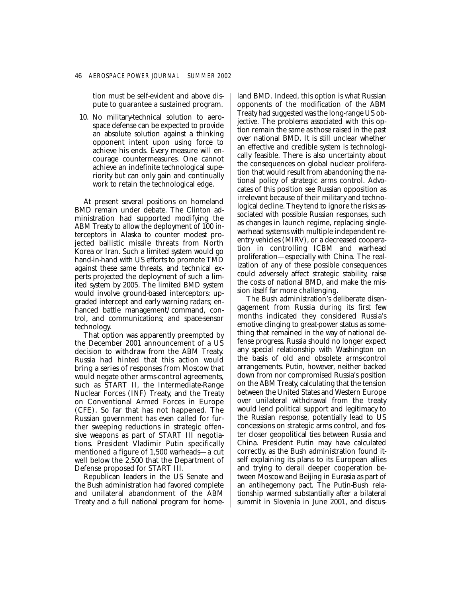tion must be self-evident and above dispute to guarantee a sustained program.

10. No military-technical solution to aerospace defense can be expected to provide an absolute solution against a thinking opponent intent upon using force to achieve his ends. Every measure will encourage countermeasures. One cannot achieve an indefinite technological superiority but can only gain and continually work to retain the technological edge.

At present several positions on homeland BMD remain under debate. The Clinton administration had supported modifying the ABM Treaty to allow the deployment of 100 interceptors in Alaska to counter modest projected ballistic missile threats from North Korea or Iran. Such a limited system would go hand-in-hand with US efforts to promote TMD against these same threats, and technical experts projected the deployment of such a limited system by 2005. The limited BMD system would involve ground-based interceptors; upgraded intercept and early warning radars; enhanced battle management/command, control, and communications; and space-sensor technology.

That option was apparently preempted by the December 2001 announcement of a US decision to withdraw from the ABM Treaty. Russia had hinted that this action would bring a series of responses from Moscow that would negate other arms-control agreements, such as START II, the Intermediate-Range Nuclear Forces (INF) Treaty, and the Treaty on Conventional Armed Forces in Europe (CFE). So far that has not happened. The Russian government has even called for further sweeping reductions in strategic offensive weapons as part of START III negotiations. President Vladimir Putin specifically mentioned a figure of 1,500 warheads—a cut well below the 2,500 that the Department of Defense proposed for START III.

Republican leaders in the US Senate and the Bush administration had favored complete and unilateral abandonment of the ABM Treaty and a full national program for home-

land BMD. Indeed, this option is what Russian opponents of the modification of the ABM Treaty had suggested was the long-range US objective. The problems associated with this option remain the same as those raised in the past over national BMD. It is still unclear whether an effective and credible system is technologically feasible. There is also uncertainty about the consequences on global nuclear proliferation that would result from abandoning the national policy of strategic arms control. Advocates of this position see Russian opposition as irrelevant because of their military and technological decline. They tend to ignore the risks associated with possible Russian responses, such as changes in launch regime, replacing singlewarhead systems with multiple independent reentry vehicles (MIRV), or a decreased cooperation in controlling ICBM and warhead proliferation—especially with China. The realization of any of these possible consequences could adversely affect strategic stability, raise the costs of national BMD, and make the mission itself far more challenging.

The Bush administration's deliberate disengagement from Russia during its first few months indicated they considered Russia's emotive clinging to great-power status as something that remained in the way of national defense progress. Russia should no longer expect any special relationship with Washington on the basis of old and obsolete arms-control arrangements. Putin, however, neither backed down from nor compromised Russia's position on the ABM Treaty, calculating that the tension between the United States and Western Europe over unilateral withdrawal from the treaty would lend political support and legitimacy to the Russian response, potentially lead to US concessions on strategic arms control, and foster closer geopolitical ties between Russia and China. President Putin may have calculated correctly, as the Bush administration found itself explaining its plans to its European allies and trying to derail deeper cooperation between Moscow and Beijing in Eurasia as part of an antihegemony pact. The Putin-Bush relationship warmed substantially after a bilateral summit in Slovenia in June 2001, and discus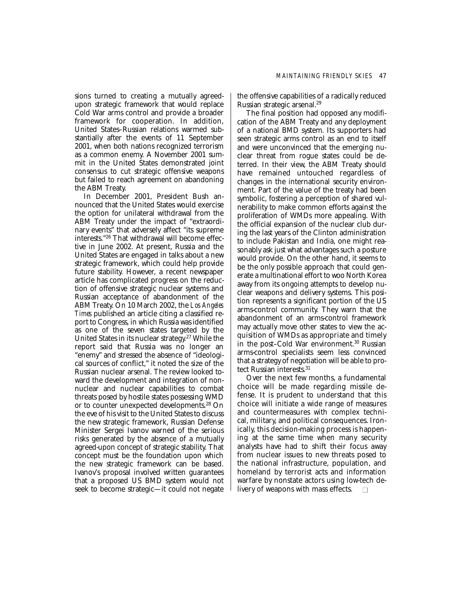sions turned to creating a mutually agreedupon strategic framework that would replace Cold War arms control and provide a broader framework for cooperation. In addition, United States–Russian relations warmed substantially after the events of 11 September 2001, when both nations recognized terrorism as a common enemy. A November 2001 summit in the United States demonstrated joint consensus to cut strategic offensive weapons but failed to reach agreement on abandoning the ABM Treaty.

In December 2001, President Bush announced that the United States would exercise the option for unilateral withdrawal from the ABM Treaty under the impact of "extraordinary events" that adversely affect "its supreme interests."26 That withdrawal will become effective in June 2002. At present, Russia and the United States are engaged in talks about a new strategic framework, which could help provide future stability. However, a recent newspaper article has complicated progress on the reduction of offensive strategic nuclear systems and Russian acceptance of abandonment of the ABM Treaty. On 10 March 2002, the *Los Angeles Times* published an article citing a classified report to Congress, in which Russia was identified as one of the seven states targeted by the United States in its nuclear strategy. 27 While the report said that Russia was no longer an "enemy" and stressed the absence of "ideological sources of conflict," it noted the size of the Russian nuclear arsenal. The review looked toward the development and integration of nonnuclear and nuclear capabilities to combat threats posed by hostile states possessing WMD or to counter unexpected developments.28 On the eve of his visit to the United States to discuss the new strategic framework, Russian Defense Minister Sergei Ivanov warned of the serious risks generated by the absence of a mutually agreed-upon concept of strategic stability. That concept must be the foundation upon which the new strategic framework can be based. Ivanov's proposal involved written guarantees that a proposed US BMD system would not seek to become strategic—it could not negate

the offensive capabilities of a radically reduced Russian strategic arsenal.29

The final position had opposed any modification of the ABM Treaty and any deployment of a national BMD system. Its supporters had seen strategic arms control as an end to itself and were unconvinced that the emerging nuclear threat from rogue states could be deterred. In their view, the ABM Treaty should have remained untouched regardless of changes in the international security environment. Part of the value of the treaty had been symbolic, fostering a perception of shared vulnerability to make common efforts against the proliferation of WMDs more appealing. With the official expansion of the nuclear club during the last years of the Clinton administration to include Pakistan and India, one might reasonably ask just what advantages such a posture would provide. On the other hand, it seems to be the only possible approach that could generate a multinational effort to woo North Korea away from its ongoing attempts to develop nuclear weapons and delivery systems. This position represents a significant portion of the US arms-control community. They warn that the abandonment of an arms-control framework may actually move other states to view the acquisition of WMDs as appropriate and timely in the post-Cold War environment.<sup>30</sup> Russian arms-control specialists seem less convinced that a strategy of negotiation will be able to protect Russian interests.<sup>31</sup>

Over the next few months, a fundamental choice will be made regarding missile defense. It is prudent to understand that this choice will initiate a wide range of measures and countermeasures with complex technical, military, and political consequences. Ironically, this decision-making process is happening at the same time when many security analysts have had to shift their focus away from nuclear issues to new threats posed to the national infrastructure, population, and homeland by terrorist acts and information warfare by nonstate actors using low-tech delivery of weapons with mass effects.  $\Box$